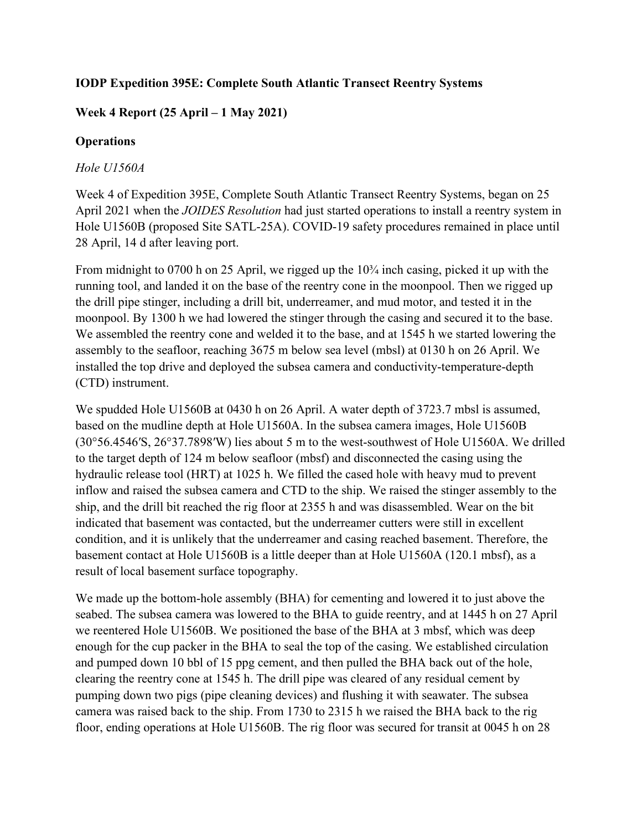### **IODP Expedition 395E: Complete South Atlantic Transect Reentry Systems**

# **Week 4 Report (25 April – 1 May 2021)**

### **Operations**

### *Hole U1560A*

Week 4 of Expedition 395E, Complete South Atlantic Transect Reentry Systems, began on 25 April 2021 when the *JOIDES Resolution* had just started operations to install a reentry system in Hole U1560B (proposed Site SATL-25A). COVID-19 safety procedures remained in place until 28 April, 14 d after leaving port.

From midnight to 0700 h on 25 April, we rigged up the  $10\frac{3}{4}$  inch casing, picked it up with the running tool, and landed it on the base of the reentry cone in the moonpool. Then we rigged up the drill pipe stinger, including a drill bit, underreamer, and mud motor, and tested it in the moonpool. By 1300 h we had lowered the stinger through the casing and secured it to the base. We assembled the reentry cone and welded it to the base, and at 1545 h we started lowering the assembly to the seafloor, reaching 3675 m below sea level (mbsl) at 0130 h on 26 April. We installed the top drive and deployed the subsea camera and conductivity-temperature-depth (CTD) instrument.

We spudded Hole U1560B at 0430 h on 26 April. A water depth of 3723.7 mbsl is assumed, based on the mudline depth at Hole U1560A. In the subsea camera images, Hole U1560B (30°56.4546′S, 26°37.7898′W) lies about 5 m to the west-southwest of Hole U1560A. We drilled to the target depth of 124 m below seafloor (mbsf) and disconnected the casing using the hydraulic release tool (HRT) at 1025 h. We filled the cased hole with heavy mud to prevent inflow and raised the subsea camera and CTD to the ship. We raised the stinger assembly to the ship, and the drill bit reached the rig floor at 2355 h and was disassembled. Wear on the bit indicated that basement was contacted, but the underreamer cutters were still in excellent condition, and it is unlikely that the underreamer and casing reached basement. Therefore, the basement contact at Hole U1560B is a little deeper than at Hole U1560A (120.1 mbsf), as a result of local basement surface topography.

We made up the bottom-hole assembly (BHA) for cementing and lowered it to just above the seabed. The subsea camera was lowered to the BHA to guide reentry, and at 1445 h on 27 April we reentered Hole U1560B. We positioned the base of the BHA at 3 mbsf, which was deep enough for the cup packer in the BHA to seal the top of the casing. We established circulation and pumped down 10 bbl of 15 ppg cement, and then pulled the BHA back out of the hole, clearing the reentry cone at 1545 h. The drill pipe was cleared of any residual cement by pumping down two pigs (pipe cleaning devices) and flushing it with seawater. The subsea camera was raised back to the ship. From 1730 to 2315 h we raised the BHA back to the rig floor, ending operations at Hole U1560B. The rig floor was secured for transit at 0045 h on 28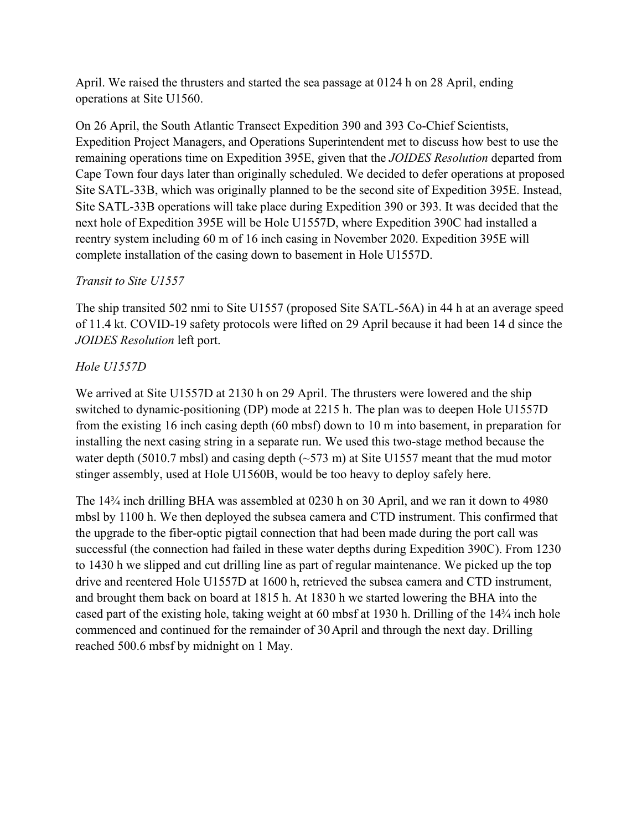April. We raised the thrusters and started the sea passage at 0124 h on 28 April, ending operations at Site U1560.

On 26 April, the South Atlantic Transect Expedition 390 and 393 Co-Chief Scientists, Expedition Project Managers, and Operations Superintendent met to discuss how best to use the remaining operations time on Expedition 395E, given that the *JOIDES Resolution* departed from Cape Town four days later than originally scheduled. We decided to defer operations at proposed Site SATL-33B, which was originally planned to be the second site of Expedition 395E. Instead, Site SATL-33B operations will take place during Expedition 390 or 393. It was decided that the next hole of Expedition 395E will be Hole U1557D, where Expedition 390C had installed a reentry system including 60 m of 16 inch casing in November 2020. Expedition 395E will complete installation of the casing down to basement in Hole U1557D.

# *Transit to Site U1557*

The ship transited 502 nmi to Site U1557 (proposed Site SATL-56A) in 44 h at an average speed of 11.4 kt. COVID-19 safety protocols were lifted on 29 April because it had been 14 d since the *JOIDES Resolution* left port.

# *Hole U1557D*

We arrived at Site U1557D at 2130 h on 29 April. The thrusters were lowered and the ship switched to dynamic-positioning (DP) mode at 2215 h. The plan was to deepen Hole U1557D from the existing 16 inch casing depth (60 mbsf) down to 10 m into basement, in preparation for installing the next casing string in a separate run. We used this two-stage method because the water depth (5010.7 mbsl) and casing depth  $(-573 \text{ m})$  at Site U1557 meant that the mud motor stinger assembly, used at Hole U1560B, would be too heavy to deploy safely here.

The 14¾ inch drilling BHA was assembled at 0230 h on 30 April, and we ran it down to 4980 mbsl by 1100 h. We then deployed the subsea camera and CTD instrument. This confirmed that the upgrade to the fiber-optic pigtail connection that had been made during the port call was successful (the connection had failed in these water depths during Expedition 390C). From 1230 to 1430 h we slipped and cut drilling line as part of regular maintenance. We picked up the top drive and reentered Hole U1557D at 1600 h, retrieved the subsea camera and CTD instrument, and brought them back on board at 1815 h. At 1830 h we started lowering the BHA into the cased part of the existing hole, taking weight at 60 mbsf at 1930 h. Drilling of the 14¾ inch hole commenced and continued for the remainder of 30April and through the next day. Drilling reached 500.6 mbsf by midnight on 1 May.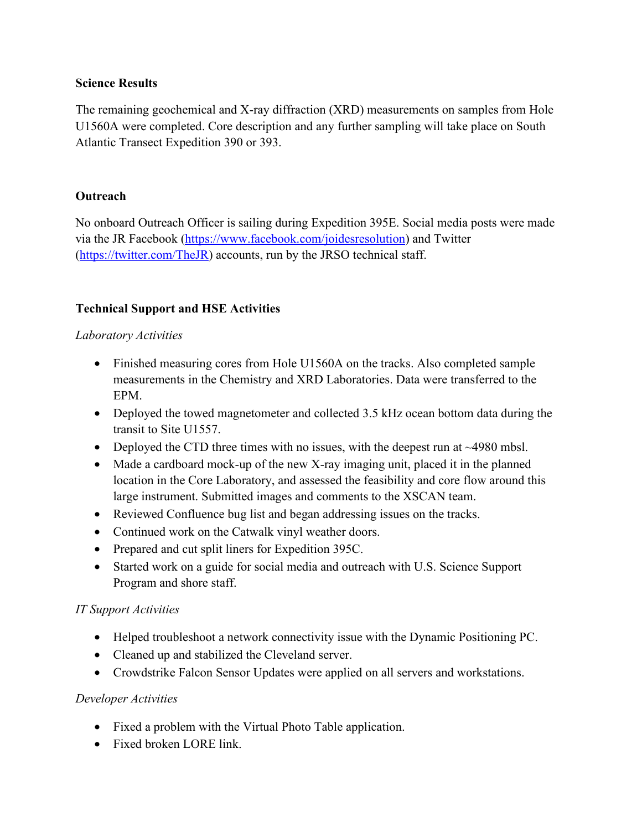#### **Science Results**

The remaining geochemical and X-ray diffraction (XRD) measurements on samples from Hole U1560A were completed. Core description and any further sampling will take place on South Atlantic Transect Expedition 390 or 393.

#### **Outreach**

No onboard Outreach Officer is sailing during Expedition 395E. Social media posts were made via the JR Facebook [\(https://www.facebook.com/joidesresolution\)](https://www.facebook.com/joidesresolution) and Twitter [\(https://twitter.com/TheJR\)](https://twitter.com/TheJR) accounts, run by the JRSO technical staff.

### **Technical Support and HSE Activities**

#### *Laboratory Activities*

- Finished measuring cores from Hole U1560A on the tracks. Also completed sample measurements in the Chemistry and XRD Laboratories. Data were transferred to the EPM.
- Deployed the towed magnetometer and collected 3.5 kHz ocean bottom data during the transit to Site U1557.
- Deployed the CTD three times with no issues, with the deepest run at ~4980 mbsl.
- Made a cardboard mock-up of the new X-ray imaging unit, placed it in the planned location in the Core Laboratory, and assessed the feasibility and core flow around this large instrument. Submitted images and comments to the XSCAN team.
- Reviewed Confluence bug list and began addressing issues on the tracks.
- Continued work on the Catwalk vinyl weather doors.
- Prepared and cut split liners for Expedition 395C.
- Started work on a guide for social media and outreach with U.S. Science Support Program and shore staff.

# *IT Support Activities*

- Helped troubleshoot a network connectivity issue with the Dynamic Positioning PC.
- Cleaned up and stabilized the Cleveland server.
- Crowdstrike Falcon Sensor Updates were applied on all servers and workstations.

# *Developer Activities*

- Fixed a problem with the Virtual Photo Table application.
- Fixed broken LORE link.